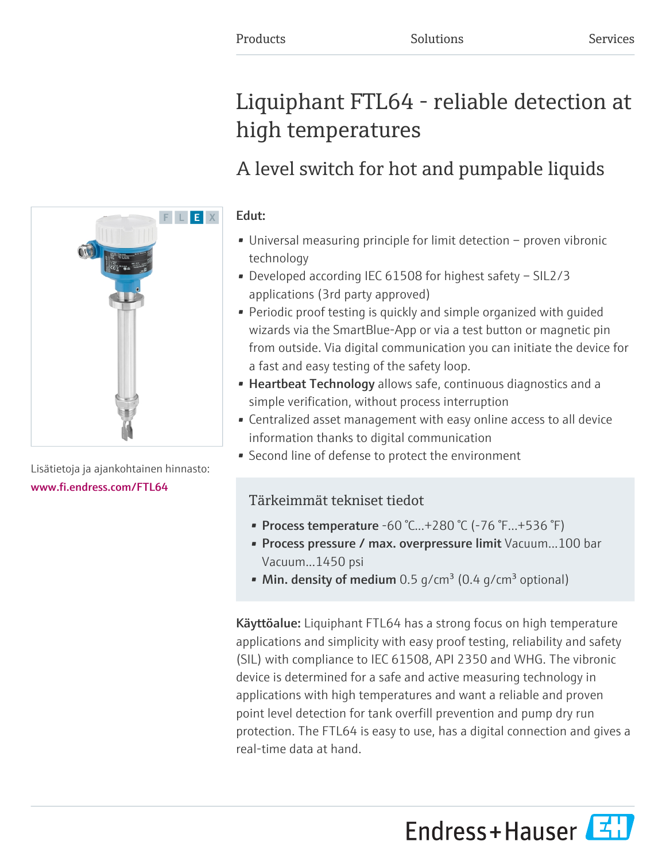# Liquiphant FTL64 - reliable detection at high temperatures

## A level switch for hot and pumpable liquids

## Edut:

- Universal measuring principle for limit detection proven vibronic technology
- Developed according IEC 61508 for highest safety SIL2/3 applications (3rd party approved)
- Periodic proof testing is quickly and simple organized with guided wizards via the SmartBlue-App or via a test button or magnetic pin from outside. Via digital communication you can initiate the device for a fast and easy testing of the safety loop.
- Heartbeat Technology allows safe, continuous diagnostics and a simple verification, without process interruption
- Centralized asset management with easy online access to all device information thanks to digital communication
- Second line of defense to protect the environment

## Tärkeimmät tekniset tiedot

- Process temperature  $-60$  °C... $+280$  °C ( $-76$  °F... $+536$  °F)
- Process pressure / max. overpressure limit Vacuum...100 bar Vacuum...1450 psi
- Min. density of medium  $0.5$  g/cm<sup>3</sup> (0.4 g/cm<sup>3</sup> optional)

Käyttöalue: Liquiphant FTL64 has a strong focus on high temperature applications and simplicity with easy proof testing, reliability and safety (SIL) with compliance to IEC 61508, API 2350 and WHG. The vibronic device is determined for a safe and active measuring technology in applications with high temperatures and want a reliable and proven point level detection for tank overfill prevention and pump dry run protection. The FTL64 is easy to use, has a digital connection and gives a real-time data at hand.

Endress+Hauser



Lisätietoja ja ajankohtainen hinnasto: [www.fi.endress.com/FTL64](https://www.fi.endress.com/FTL64)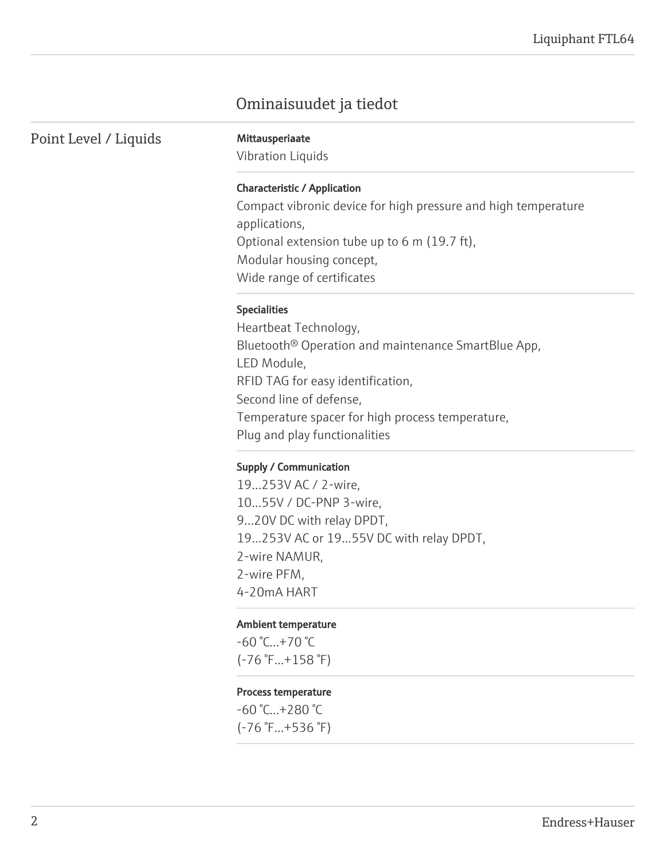## Ominaisuudet ja tiedot

Point Level / Liquids Mittausperiaate

Vibration Liquids

#### Characteristic / Application

Compact vibronic device for high pressure and high temperature applications, Optional extension tube up to 6 m (19.7 ft), Modular housing concept, Wide range of certificates

#### Specialities

Heartbeat Technology, Bluetooth® Operation and maintenance SmartBlue App, LED Module, RFID TAG for easy identification, Second line of defense, Temperature spacer for high process temperature, Plug and play functionalities

#### Supply / Communication

19...253V AC / 2-wire, 10...55V / DC-PNP 3-wire, 9...20V DC with relay DPDT, 19...253V AC or 19...55V DC with relay DPDT, 2-wire NAMUR, 2-wire PFM, 4-20mA HART

#### Ambient temperature

-60 °C...+70 °C (-76 °F...+158 °F)

#### Process temperature

-60 °C...+280 °C (-76 °F...+536 °F)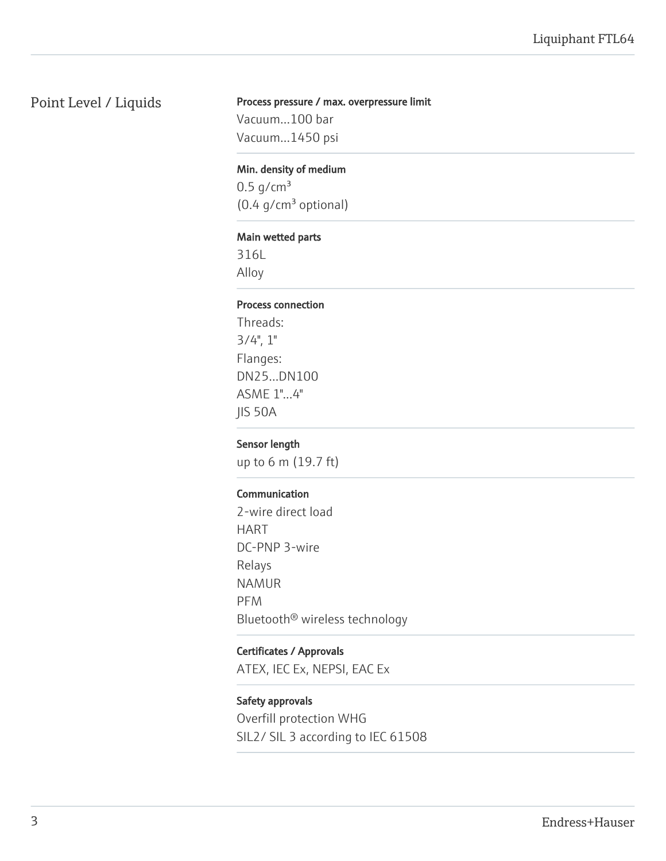## Point Level / Liquids

#### Process pressure / max. overpressure limit

Vacuum...100 bar Vacuum...1450 psi

#### Min. density of medium

 $0.5$  g/cm<sup>3</sup>  $(0.4 g/cm<sup>3</sup>$  optional)

#### Main wetted parts

316L Alloy

#### Process connection

Threads:  $3/4$ ",  $1$ " Flanges: DN25...DN100 ASME 1"...4" JIS 50A

#### Sensor length

up to 6 m (19.7 ft)

#### Communication

2-wire direct load HART DC-PNP 3-wire Relays NAMUR PFM Bluetooth® wireless technology

#### Certificates / Approvals

ATEX, IEC Ex, NEPSI, EAC Ex

#### Safety approvals

Overfill protection WHG SIL2/ SIL 3 according to IEC 61508